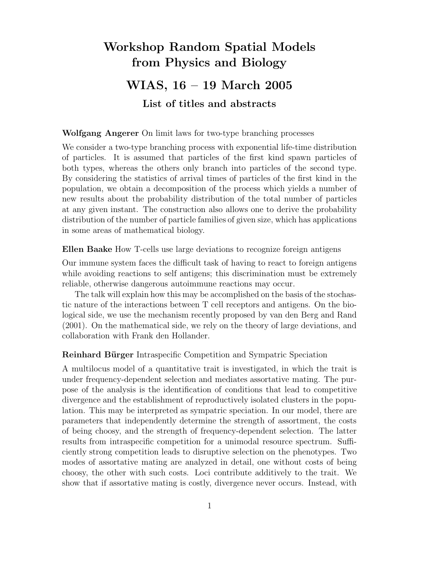# Workshop Random Spatial Models from Physics and Biology WIAS, 16 – 19 March 2005 List of titles and abstracts

Wolfgang Angerer On limit laws for two-type branching processes

We consider a two-type branching process with exponential life-time distribution of particles. It is assumed that particles of the first kind spawn particles of both types, whereas the others only branch into particles of the second type. By considering the statistics of arrival times of particles of the first kind in the population, we obtain a decomposition of the process which yields a number of new results about the probability distribution of the total number of particles at any given instant. The construction also allows one to derive the probability distribution of the number of particle families of given size, which has applications in some areas of mathematical biology.

Ellen Baake How T-cells use large deviations to recognize foreign antigens

Our immune system faces the difficult task of having to react to foreign antigens while avoiding reactions to self antigens; this discrimination must be extremely reliable, otherwise dangerous autoimmune reactions may occur.

The talk will explain how this may be accomplished on the basis of the stochastic nature of the interactions between T cell receptors and antigens. On the biological side, we use the mechanism recently proposed by van den Berg and Rand (2001). On the mathematical side, we rely on the theory of large deviations, and collaboration with Frank den Hollander.

Reinhard Bürger Intraspecific Competition and Sympatric Speciation

A multilocus model of a quantitative trait is investigated, in which the trait is under frequency-dependent selection and mediates assortative mating. The purpose of the analysis is the identification of conditions that lead to competitive divergence and the establishment of reproductively isolated clusters in the population. This may be interpreted as sympatric speciation. In our model, there are parameters that independently determine the strength of assortment, the costs of being choosy, and the strength of frequency-dependent selection. The latter results from intraspecific competition for a unimodal resource spectrum. Sufficiently strong competition leads to disruptive selection on the phenotypes. Two modes of assortative mating are analyzed in detail, one without costs of being choosy, the other with such costs. Loci contribute additively to the trait. We show that if assortative mating is costly, divergence never occurs. Instead, with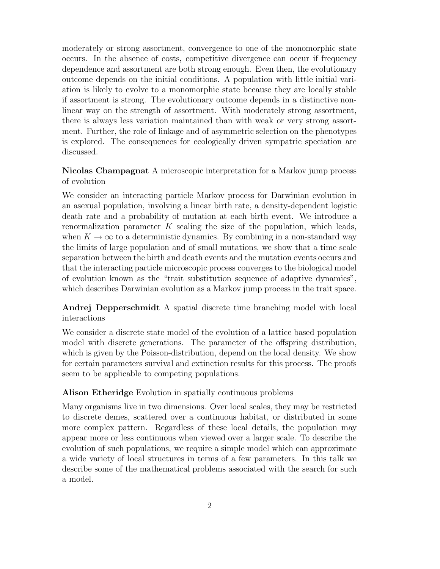moderately or strong assortment, convergence to one of the monomorphic state occurs. In the absence of costs, competitive divergence can occur if frequency dependence and assortment are both strong enough. Even then, the evolutionary outcome depends on the initial conditions. A population with little initial variation is likely to evolve to a monomorphic state because they are locally stable if assortment is strong. The evolutionary outcome depends in a distinctive nonlinear way on the strength of assortment. With moderately strong assortment, there is always less variation maintained than with weak or very strong assortment. Further, the role of linkage and of asymmetric selection on the phenotypes is explored. The consequences for ecologically driven sympatric speciation are discussed.

# Nicolas Champagnat A microscopic interpretation for a Markov jump process of evolution

We consider an interacting particle Markov process for Darwinian evolution in an asexual population, involving a linear birth rate, a density-dependent logistic death rate and a probability of mutation at each birth event. We introduce a renormalization parameter  $K$  scaling the size of the population, which leads, when  $K \to \infty$  to a deterministic dynamics. By combining in a non-standard way the limits of large population and of small mutations, we show that a time scale separation between the birth and death events and the mutation events occurs and that the interacting particle microscopic process converges to the biological model of evolution known as the "trait substitution sequence of adaptive dynamics", which describes Darwinian evolution as a Markov jump process in the trait space.

# Andrej Depperschmidt A spatial discrete time branching model with local interactions

We consider a discrete state model of the evolution of a lattice based population model with discrete generations. The parameter of the offspring distribution, which is given by the Poisson-distribution, depend on the local density. We show for certain parameters survival and extinction results for this process. The proofs seem to be applicable to competing populations.

## Alison Etheridge Evolution in spatially continuous problems

Many organisms live in two dimensions. Over local scales, they may be restricted to discrete demes, scattered over a continuous habitat, or distributed in some more complex pattern. Regardless of these local details, the population may appear more or less continuous when viewed over a larger scale. To describe the evolution of such populations, we require a simple model which can approximate a wide variety of local structures in terms of a few parameters. In this talk we describe some of the mathematical problems associated with the search for such a model.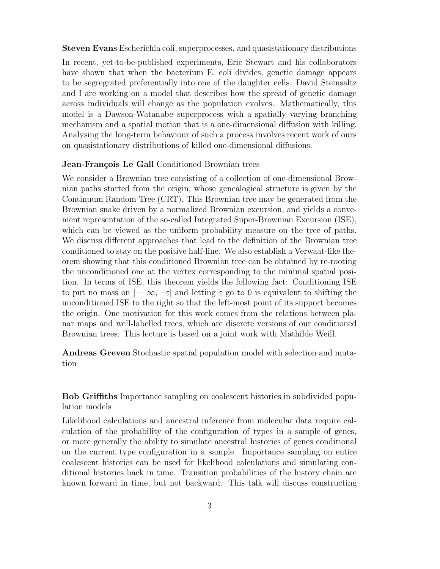Steven Evans Escherichia coli, superprocesses, and quasistationary distributions

In recent, yet-to-be-published experiments, Eric Stewart and his collaborators have shown that when the bacterium E. coli divides, genetic damage appears to be segregrated preferentially into one of the daughter cells. David Steinsaltz and I are working on a model that describes how the spread of genetic damage across individuals will change as the population evolves. Mathematically, this model is a Dawson-Watanabe superprocess with a spatially varying branching mechanism and a spatial motion that is a one-dimensional diffusion with killing. Analysing the long-term behaviour of such a process involves recent work of ours on quasistationary distributions of killed one-dimensional diffusions.

#### Jean-François Le Gall Conditioned Brownian trees

We consider a Brownian tree consisting of a collection of one-dimensional Brownian paths started from the origin, whose genealogical structure is given by the Continuum Random Tree (CRT). This Brownian tree may be generated from the Brownian snake driven by a normalized Brownian excursion, and yields a convenient representation of the so-called Integrated Super-Brownian Excursion (ISE), which can be viewed as the uniform probability measure on the tree of paths. We discuss different approaches that lead to the definition of the Brownian tree conditioned to stay on the positive half-line. We also establish a Verwaat-like theorem showing that this conditioned Brownian tree can be obtained by re-rooting the unconditioned one at the vertex corresponding to the minimal spatial position. In terms of ISE, this theorem yields the following fact: Conditioning ISE to put no mass on  $]-\infty,-\varepsilon[$  and letting  $\varepsilon$  go to 0 is equivalent to shifting the unconditioned ISE to the right so that the left-most point of its support becomes the origin. One motivation for this work comes from the relations between planar maps and well-labelled trees, which are discrete versions of our conditioned Brownian trees. This lecture is based on a joint work with Mathilde Weill.

Andreas Greven Stochastic spatial population model with selection and mutation

Bob Griffiths Importance sampling on coalescent histories in subdivided population models

Likelihood calculations and ancestral inference from molecular data require calculation of the probability of the configuration of types in a sample of genes, or more generally the ability to simulate ancestral histories of genes conditional on the current type configuration in a sample. Importance sampling on entire coalescent histories can be used for likelihood calculations and simulating conditional histories back in time. Transition probabilities of the history chain are known forward in time, but not backward. This talk will discuss constructing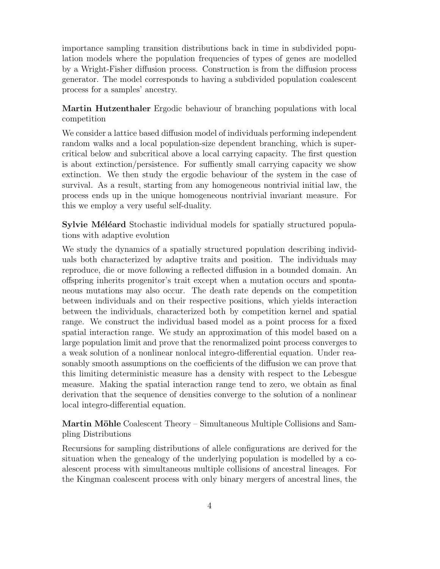importance sampling transition distributions back in time in subdivided population models where the population frequencies of types of genes are modelled by a Wright-Fisher diffusion process. Construction is from the diffusion process generator. The model corresponds to having a subdivided population coalescent process for a samples' ancestry.

Martin Hutzenthaler Ergodic behaviour of branching populations with local competition

We consider a lattice based diffusion model of individuals performing independent random walks and a local population-size dependent branching, which is supercritical below and subcritical above a local carrying capacity. The first question is about extinction/persistence. For suffiently small carrying capacity we show extinction. We then study the ergodic behaviour of the system in the case of survival. As a result, starting from any homogeneous nontrivial initial law, the process ends up in the unique homogeneous nontrivial invariant measure. For this we employ a very useful self-duality.

Sylvie Méléard Stochastic individual models for spatially structured populations with adaptive evolution

We study the dynamics of a spatially structured population describing individuals both characterized by adaptive traits and position. The individuals may reproduce, die or move following a reflected diffusion in a bounded domain. An offspring inherits progenitor's trait except when a mutation occurs and spontaneous mutations may also occur. The death rate depends on the competition between individuals and on their respective positions, which yields interaction between the individuals, characterized both by competition kernel and spatial range. We construct the individual based model as a point process for a fixed spatial interaction range. We study an approximation of this model based on a large population limit and prove that the renormalized point process converges to a weak solution of a nonlinear nonlocal integro-differential equation. Under reasonably smooth assumptions on the coefficients of the diffusion we can prove that this limiting deterministic measure has a density with respect to the Lebesgue measure. Making the spatial interaction range tend to zero, we obtain as final derivation that the sequence of densities converge to the solution of a nonlinear local integro-differential equation.

Martin Möhle Coalescent Theory – Simultaneous Multiple Collisions and Sampling Distributions

Recursions for sampling distributions of allele configurations are derived for the situation when the genealogy of the underlying population is modelled by a coalescent process with simultaneous multiple collisions of ancestral lineages. For the Kingman coalescent process with only binary mergers of ancestral lines, the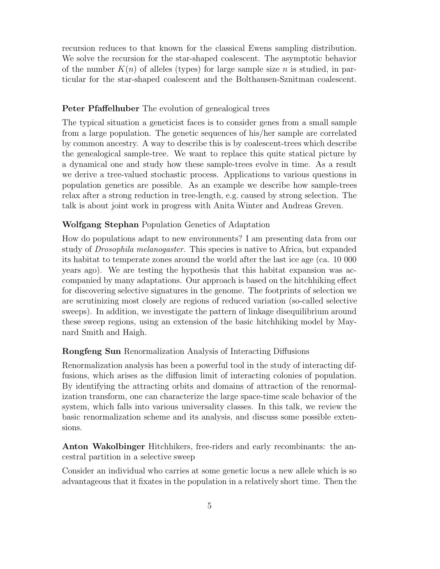recursion reduces to that known for the classical Ewens sampling distribution. We solve the recursion for the star-shaped coalescent. The asymptotic behavior of the number  $K(n)$  of alleles (types) for large sample size n is studied, in particular for the star-shaped coalescent and the Bolthausen-Sznitman coalescent.

## Peter Pfaffelhuber The evolution of genealogical trees

The typical situation a geneticist faces is to consider genes from a small sample from a large population. The genetic sequences of his/her sample are correlated by common ancestry. A way to describe this is by coalescent-trees which describe the genealogical sample-tree. We want to replace this quite statical picture by a dynamical one and study how these sample-trees evolve in time. As a result we derive a tree-valued stochastic process. Applications to various questions in population genetics are possible. As an example we describe how sample-trees relax after a strong reduction in tree-length, e.g. caused by strong selection. The talk is about joint work in progress with Anita Winter and Andreas Greven.

## Wolfgang Stephan Population Genetics of Adaptation

How do populations adapt to new environments? I am presenting data from our study of Drosophila melanogaster. This species is native to Africa, but expanded its habitat to temperate zones around the world after the last ice age (ca. 10 000 years ago). We are testing the hypothesis that this habitat expansion was accompanied by many adaptations. Our approach is based on the hitchhiking effect for discovering selective signatures in the genome. The footprints of selection we are scrutinizing most closely are regions of reduced variation (so-called selective sweeps). In addition, we investigate the pattern of linkage disequilibrium around these sweep regions, using an extension of the basic hitchhiking model by Maynard Smith and Haigh.

#### Rongfeng Sun Renormalization Analysis of Interacting Diffusions

Renormalization analysis has been a powerful tool in the study of interacting diffusions, which arises as the diffusion limit of interacting colonies of population. By identifying the attracting orbits and domains of attraction of the renormalization transform, one can characterize the large space-time scale behavior of the system, which falls into various universality classes. In this talk, we review the basic renormalization scheme and its analysis, and discuss some possible extensions.

Anton Wakolbinger Hitchhikers, free-riders and early recombinants: the ancestral partition in a selective sweep

Consider an individual who carries at some genetic locus a new allele which is so advantageous that it fixates in the population in a relatively short time. Then the